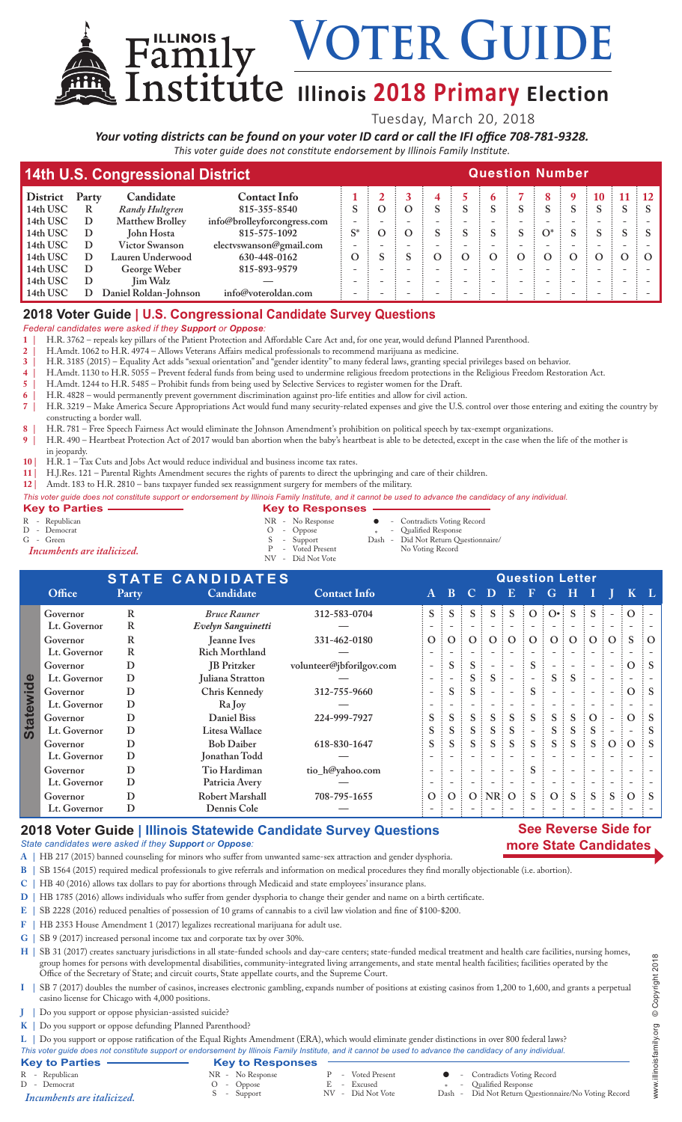# VOTER GUIDE

## $\text{I}$ **Illinois** 2018 Primary Election

Tuesday, March 20, 2018

*Your voting districts can be found on your voter ID card or call the IFI office 708-781-9328. This voter guide does not constitute endorsement by Illinois Family Institute.*

| 14th U.S. Congressional District |       |                        |                             |       |          | <b>Question Number</b> |          |   |          |          |          |          |          |   |           |  |  |
|----------------------------------|-------|------------------------|-----------------------------|-------|----------|------------------------|----------|---|----------|----------|----------|----------|----------|---|-----------|--|--|
| <b>District</b>                  | Party | Candidate              | <b>Contact Info</b>         |       |          |                        |          |   |          |          |          |          | 10       |   | $\div$ 12 |  |  |
| 14th USC                         | R     | Randy Hultgren         | 815-355-8540                |       | $\Omega$ |                        |          |   |          | S        |          |          |          |   |           |  |  |
| 14th USC                         | D     | <b>Matthew Brolley</b> | info@brolleyforcongress.com |       |          |                        |          |   |          |          |          |          |          |   |           |  |  |
| 14th USC                         | D     | John Hosta             | 815-575-1092                | $S^*$ | $\Omega$ |                        |          |   |          | S        | $O^*$    | S        | S        | S |           |  |  |
| 14th USC                         | D     | Victor Swanson         | electvswanson@gmail.com     |       |          |                        |          |   |          |          |          |          |          |   |           |  |  |
| 14th USC                         | D     | Lauren Underwood       | 630-448-0162                | Ω     |          |                        | $\Omega$ | O | $\Omega$ | $\Omega$ | $\Omega$ | $\Omega$ | $\omega$ |   |           |  |  |
| 14th USC                         | D     | George Weber           | 815-893-9579                |       |          |                        |          |   |          |          |          |          |          |   |           |  |  |
| 14th USC                         | D     | <b>Jim Walz</b>        |                             |       |          |                        |          |   |          |          |          |          |          |   |           |  |  |
| 14th USC                         |       | Daniel Roldan-Johnson  | info@voteroldan.com         |       |          |                        |          |   |          |          |          |          |          |   |           |  |  |

### **2018 Voter Guide | U.S. Congressional Candidate Survey Questions**

#### *Federal candidates were asked if they Support or Oppose:*

**1 |** H.R. 3762 – repeals key pillars of the Patient Protection and Affordable Care Act and, for one year, would defund Planned Parenthood.

**2 |** H.Amdt. 1062 to H.R. 4974 – Allows Veterans Affairs medical professionals to recommend marijuana as medicine.

**3 |** H.R. 3185 (2015) – Equality Act adds "sexual orientation" and "gender identity" to many federal laws, granting special privileges based on behavior.

**4 |** H.Amdt. 1130 to H.R. 5055 – Prevent federal funds from being used to undermine religious freedom protections in the Religious Freedom Restoration Act.

**5 |** H.Amdt. 1244 to H.R. 5485 – Prohibit funds from being used by Selective Services to register women for the Draft.

**6 |** H.R. 4828 – would permanently prevent government discrimination against pro-life entities and allow for civil action. **7 |** H.R. 3219 – Make America Secure Appropriations Act would fund many security-related expenses and give the U.S. control over those entering and exiting the country by constructing a border wall.

**8 |** H.R. 781 – Free Speech Fairness Act would eliminate the Johnson Amendment's prohibition on political speech by tax-exempt organizations.

**9 |** H.R. 490 – Heartbeat Protection Act of 2017 would ban abortion when the baby's heartbeat is able to be detected, except in the case when the life of the mother is

- in jeopardy.
- **10 |** H.R. 1 Tax Cuts and Jobs Act would reduce individual and business income tax rates.

Family

**11 |** H.J.Res. 121 – Parental Rights Amendment secures the rights of parents to direct the upbringing and care of their children.

**12 |** Amdt. 183 to H.R. 2810 – bans taxpayer funded sex reassignment surgery for members of the military.

*This voter guide does not constitute support or endorsement by Illinois Family Institute, and it cannot be used to advance the candidacy of any individual.*

- **Key to Parties Responses**<br>
R Republican<br>
R Republican<br>
R No Response R - Republican MR - No Response  $\begin{array}{cccccccccc} \mathsf{R} & - & \mathsf{Reupblican} & & & \mathsf{NR} & - & \mathsf{Nor} & \mathsf{Record} \ \mathsf{D} & - & \mathsf{Democrat} & & & \mathsf{O} & - & \mathsf{Oppose} & & * & - & \mathsf{Qualified Response} \ \mathsf{G} & - & \mathsf{Green} & & & S & - & \mathsf{Support} & & \mathsf{Dash} & - & \mathsf{Did Not Return Question} \end{array}$
- 
- <sup>D</sup> Democrat O Oppose \* Qualified Response

G - Green S - Support Dash - Did Not Return Questionnaire/<br> **S** - Support Dash - Did Not Return Questionnaire/<br>
P - Voted Present No Voting Record P - Voted Present No Voting Record *Incumbents are italicized.*

 NV - Did Not Vote **STATE CANDIDATES**<br> **Party** Candidate **Contact Info** A B C D E F G H I **Office Party Candidate Contact Info A B C D E F G H I J K L Governor R** *Bruce Rauner* **312-583-0704 S S S S S O O• S S - O - Lt. Governor R** *Evelyn Sanguinetti* **— - - - - - - - - - - - - Governor R Jeanne Ives 331-462-0180 O O O O O O O O O O S O Lt. Governor R Rich Morthland — - - - - - - - - - - - - Governor D JB Pritzker volunteer@jbforilgov.com - S S - - S - - - - O S Statewide Lt. Governor D Juliana Stratton — - - S S - - S S - - - - Governor D Chris Kennedy 312-755-9660 - S S - - S - - - - O S** Statew  **Lt. Governor D Ra Joy — - - - - - - - - - - - - Governor D Daniel Biss 224-999-7927 S S S S S S S S O - O S Lt. Governor D Litesa Wallace S S S S S - S S S - - S Governor D Bob Daiber 618-830-1647 S S S S S S S S S O O S Lt. Governor D Jonathan Todd — - - - - - - - - - - - - Governor D Tio Hardiman tio\_h@yahoo.com - - - - - S - - - - - - Lt. Governor D Patricia Avery — - - - - - - - - - - - - Governor D Robert Marshall 708-795-1655 O O O NR O S O S S S O S Lt. Governor D Dennis Cole — - - - - - - - - - - - -**

### **2018 Voter Guide | Illinois Statewide Candidate Survey Questions**

#### *State candidates were asked if they Support or Oppose:*

- **A |** HB 217 (2015) banned counseling for minors who suffer from unwanted same-sex attraction and gender dysphoria.
- **B |** SB 1564 (2015) required medical professionals to give referrals and information on medical procedures they find morally objectionable (i.e. abortion).
- **C |** HB 40 (2016) allows tax dollars to pay for abortions through Medicaid and state employees' insurance plans.
- **D |** HB 1785 (2016) allows individuals who suffer from gender dysphoria to change their gender and name on a birth certificate.
- **E |** SB 2228 (2016) reduced penalties of possession of 10 grams of cannabis to a civil law violation and fine of \$100-\$200.
- **F |** HB 2353 House Amendment 1 (2017) legalizes recreational marijuana for adult use.
- **G |** SB 9 (2017) increased personal income tax and corporate tax by over 30%.

**H |** SB 31 (2017) creates sanctuary jurisdictions in all state-funded schools and day-care centers; state-funded medical treatment and health care facilities, nursing homes, group homes for persons with developmental disabilities, community-integrated living arrangements, and state mental health facilities; facilities operated by the Office of the Secretary of State; and circuit courts, State appellate courts, and the Supreme Court.

- **I |** SB 7 (2017) doubles the number of casinos, increases electronic gambling, expands number of positions at existing casinos from 1,200 to 1,600, and grants a perpetual casino license for Chicago with 4,000 positions.
- **J |** Do you support or oppose physician-assisted suicide?
- **K |** Do you support or oppose defunding Planned Parenthood?

**L |** Do you support or oppose ratification of the Equal Rights Amendment (ERA), which would eliminate gender distinctions in over 800 federal laws? *This voter guide does not constitute support or endorsement by Illinois Family Institute, and it cannot be used to advance the candidacy of any individual.*

#### **Key to Parties — Key to Responses**<br>
R - Republican<br>
D - Democrat<br>  $\begin{array}{ccc}\n\text{N} & \text{N} & \text{N} \\
\text{N} & \text{N} & \text{N} \\
\text{N} & \text{N} & \text{N}\n\end{array}$ R - Republican MR - No Response P - Voted Present Contradicts Voting Record<br>
D - Democrat D - Oppose P - Excused Present Contradicts Voting Record<br>
D - Democrat D - Oppose P - Excused P - Did Not Vote Dash - Did Not Return <sup>D</sup> - Democrat <sup>O</sup> - Oppose <sup>E</sup> - Excused \* - Qualified Response

*Incumbents are italicized*. S - Support NV - Did Not Vote Dash - Did Not Return Questionnaire/No Voting Record

- 
- 
- 
- -

**See Reverse Side for more State Candidates**